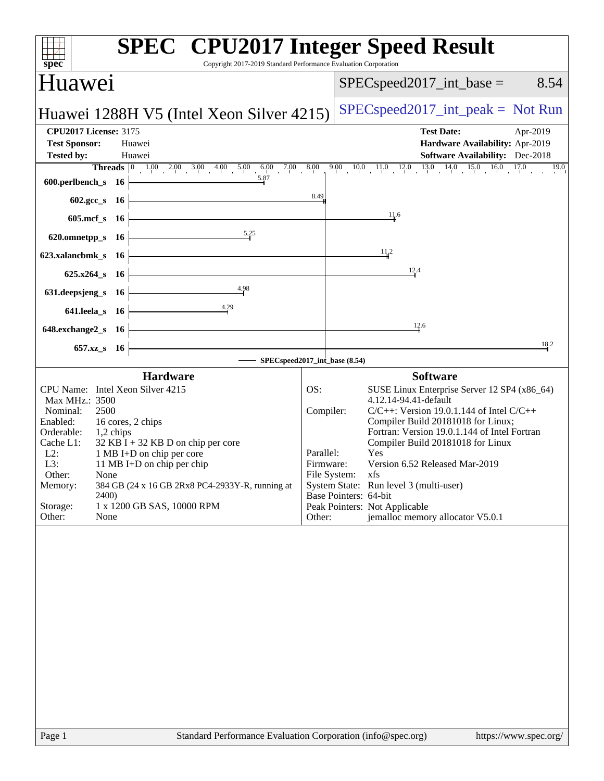| Copyright 2017-2019 Standard Performance Evaluation Corporation<br>spec                                                                                                                                                                                                                                                                                                                                                          | <b>SPEC<sup>®</sup></b> CPU2017 Integer Speed Result                                                                                                                                                                                                                                                                                                                                                                                                                                                           |  |  |  |
|----------------------------------------------------------------------------------------------------------------------------------------------------------------------------------------------------------------------------------------------------------------------------------------------------------------------------------------------------------------------------------------------------------------------------------|----------------------------------------------------------------------------------------------------------------------------------------------------------------------------------------------------------------------------------------------------------------------------------------------------------------------------------------------------------------------------------------------------------------------------------------------------------------------------------------------------------------|--|--|--|
| Huawei                                                                                                                                                                                                                                                                                                                                                                                                                           | $SPEC speed2017\_int\_base =$<br>8.54                                                                                                                                                                                                                                                                                                                                                                                                                                                                          |  |  |  |
| Huawei 1288H V5 (Intel Xeon Silver 4215)                                                                                                                                                                                                                                                                                                                                                                                         | $SPEC speed2017\_int\_peak = Not Run$                                                                                                                                                                                                                                                                                                                                                                                                                                                                          |  |  |  |
| <b>CPU2017 License: 3175</b>                                                                                                                                                                                                                                                                                                                                                                                                     | <b>Test Date:</b><br>Apr-2019                                                                                                                                                                                                                                                                                                                                                                                                                                                                                  |  |  |  |
| <b>Test Sponsor:</b><br>Huawei                                                                                                                                                                                                                                                                                                                                                                                                   | Hardware Availability: Apr-2019                                                                                                                                                                                                                                                                                                                                                                                                                                                                                |  |  |  |
| <b>Tested by:</b><br>Huawei                                                                                                                                                                                                                                                                                                                                                                                                      | <b>Software Availability:</b> Dec-2018                                                                                                                                                                                                                                                                                                                                                                                                                                                                         |  |  |  |
| $600. perlbench_s$ 16                                                                                                                                                                                                                                                                                                                                                                                                            | <b>Threads</b> $\begin{bmatrix} 0 & 1.00 & 2.00 & 3.00 & 4.00 & 5.00 & 6.00 & 7.00 & 8.00 & 9.00 & 10.0 & 11.0 & 12.0 & 13.0 & 14.0 & 15.0 & 16.0 & 17.0 \end{bmatrix}$                                                                                                                                                                                                                                                                                                                                        |  |  |  |
| 602.gcc_s 16 $\overline{\qquad}$                                                                                                                                                                                                                                                                                                                                                                                                 | 8.49                                                                                                                                                                                                                                                                                                                                                                                                                                                                                                           |  |  |  |
| $605.\text{mcf}_s$ 16                                                                                                                                                                                                                                                                                                                                                                                                            | 11.6                                                                                                                                                                                                                                                                                                                                                                                                                                                                                                           |  |  |  |
| 620.omnetpp_s 16 $\left  \right $ 5.35                                                                                                                                                                                                                                                                                                                                                                                           |                                                                                                                                                                                                                                                                                                                                                                                                                                                                                                                |  |  |  |
| 623.xalancbmk_s 16 $\vdash$                                                                                                                                                                                                                                                                                                                                                                                                      | $\frac{11}{2}$                                                                                                                                                                                                                                                                                                                                                                                                                                                                                                 |  |  |  |
| $625.x264_s$ 16                                                                                                                                                                                                                                                                                                                                                                                                                  | $\frac{12.4}{5}$                                                                                                                                                                                                                                                                                                                                                                                                                                                                                               |  |  |  |
| $631. \text{deepsjeng_s}$ $16$<br>4.98                                                                                                                                                                                                                                                                                                                                                                                           |                                                                                                                                                                                                                                                                                                                                                                                                                                                                                                                |  |  |  |
| 641.leela_s 16 $\frac{4.29}{1}$                                                                                                                                                                                                                                                                                                                                                                                                  |                                                                                                                                                                                                                                                                                                                                                                                                                                                                                                                |  |  |  |
| $648$ .exchange $2$ _s 16                                                                                                                                                                                                                                                                                                                                                                                                        | 12.6                                                                                                                                                                                                                                                                                                                                                                                                                                                                                                           |  |  |  |
| $657.xz_s$ 16                                                                                                                                                                                                                                                                                                                                                                                                                    | 18.2                                                                                                                                                                                                                                                                                                                                                                                                                                                                                                           |  |  |  |
| SPECspeed2017_int_base (8.54)                                                                                                                                                                                                                                                                                                                                                                                                    |                                                                                                                                                                                                                                                                                                                                                                                                                                                                                                                |  |  |  |
| <b>Hardware</b>                                                                                                                                                                                                                                                                                                                                                                                                                  | <b>Software</b>                                                                                                                                                                                                                                                                                                                                                                                                                                                                                                |  |  |  |
| CPU Name: Intel Xeon Silver 4215<br>Max MHz.: 3500<br>Nominal:<br>2500<br>Enabled:<br>16 cores, 2 chips<br>Orderable:<br>$1,2$ chips<br>Cache L1:<br>$32$ KB I + 32 KB D on chip per core<br>$L2$ :<br>1 MB I+D on chip per core<br>L3:<br>11 MB I+D on chip per chip<br>Other:<br>None<br>384 GB (24 x 16 GB 2Rx8 PC4-2933Y-R, running at<br>Memory:<br><b>2400</b><br>Storage:<br>1 x 1200 GB SAS, 10000 RPM<br>Other:<br>None | OS:<br>SUSE Linux Enterprise Server 12 SP4 (x86_64)<br>4.12.14-94.41-default<br>Compiler:<br>$C/C++$ : Version 19.0.1.144 of Intel $C/C++$<br>Compiler Build 20181018 for Linux;<br>Fortran: Version 19.0.1.144 of Intel Fortran<br>Compiler Build 20181018 for Linux<br>Yes<br>Parallel:<br>Version 6.52 Released Mar-2019<br>Firmware:<br>File System: xfs<br>System State: Run level 3 (multi-user)<br>Base Pointers: 64-bit<br>Peak Pointers: Not Applicable<br>jemalloc memory allocator V5.0.1<br>Other: |  |  |  |
| $D_{200}$ 1                                                                                                                                                                                                                                                                                                                                                                                                                      | Standard Performance Evaluation Corporation (info@spec.org)<br>http://www.                                                                                                                                                                                                                                                                                                                                                                                                                                     |  |  |  |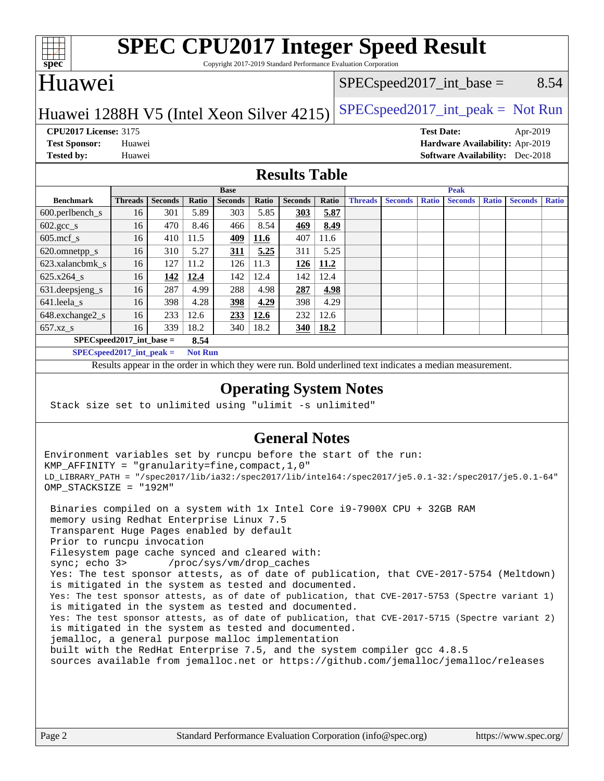

# **[SPEC CPU2017 Integer Speed Result](http://www.spec.org/auto/cpu2017/Docs/result-fields.html#SPECCPU2017IntegerSpeedResult)**

Copyright 2017-2019 Standard Performance Evaluation Corporation

## Huawei

#### $SPEC speed2017\_int\_base =$  8.54

### Huawei 1288H V5 (Intel Xeon Silver 4215)  $|SPEC speed2017\_int\_peak = Not Run$

**[Tested by:](http://www.spec.org/auto/cpu2017/Docs/result-fields.html#Testedby)** Huawei **[Software Availability:](http://www.spec.org/auto/cpu2017/Docs/result-fields.html#SoftwareAvailability)** Dec-2018

**[CPU2017 License:](http://www.spec.org/auto/cpu2017/Docs/result-fields.html#CPU2017License)** 3175 **[Test Date:](http://www.spec.org/auto/cpu2017/Docs/result-fields.html#TestDate)** Apr-2019 **[Test Sponsor:](http://www.spec.org/auto/cpu2017/Docs/result-fields.html#TestSponsor)** Huawei **[Hardware Availability:](http://www.spec.org/auto/cpu2017/Docs/result-fields.html#HardwareAvailability)** Apr-2019

#### **[Results Table](http://www.spec.org/auto/cpu2017/Docs/result-fields.html#ResultsTable)**

|                                      | <b>Base</b>    |                |       |                |             | <b>Peak</b>    |             |                |                |              |                |              |                |              |
|--------------------------------------|----------------|----------------|-------|----------------|-------------|----------------|-------------|----------------|----------------|--------------|----------------|--------------|----------------|--------------|
| <b>Benchmark</b>                     | <b>Threads</b> | <b>Seconds</b> | Ratio | <b>Seconds</b> | Ratio       | <b>Seconds</b> | Ratio       | <b>Threads</b> | <b>Seconds</b> | <b>Ratio</b> | <b>Seconds</b> | <b>Ratio</b> | <b>Seconds</b> | <b>Ratio</b> |
| $600.$ perlbench_s                   | 16             | 301            | 5.89  | 303            | 5.85        | 303            | 5.87        |                |                |              |                |              |                |              |
| $602 \text{.} \text{gcc}\text{_<}$ s | 16             | 470            | 8.46  | 466            | 8.54        | 469            | 8.49        |                |                |              |                |              |                |              |
| $605$ .mcf s                         | 16             | 410            | 11.5  | <u>409</u>     | <b>11.6</b> | 407            | 11.6        |                |                |              |                |              |                |              |
| 620.omnetpp_s                        | 16             | 310            | 5.27  | <u>311</u>     | 5.25        | 311            | 5.25        |                |                |              |                |              |                |              |
| 623.xalancbmk s                      | 16             | 127            | 11.2  | 126            | 11.3        | 126            | 11.2        |                |                |              |                |              |                |              |
| 625.x264 s                           | 16             | 142            | 12.4  | 142            | 12.4        | 142            | 12.4        |                |                |              |                |              |                |              |
| 631.deepsjeng_s                      | 16             | 287            | 4.99  | 288            | 4.98        | 287            | 4.98        |                |                |              |                |              |                |              |
| 641.leela_s                          | 16             | 398            | 4.28  | 398            | 4.29        | 398            | 4.29        |                |                |              |                |              |                |              |
| 648.exchange2_s                      | 16             | 233            | 12.6  | <u>233</u>     | 12.6        | 232            | 12.6        |                |                |              |                |              |                |              |
| $657.xz$ s                           | 16             | 339            | 18.2  | 340            | 18.2        | 340            | <b>18.2</b> |                |                |              |                |              |                |              |
| $SPECspeed2017$ int base =<br>8.54   |                |                |       |                |             |                |             |                |                |              |                |              |                |              |

**[SPECspeed2017\\_int\\_peak =](http://www.spec.org/auto/cpu2017/Docs/result-fields.html#SPECspeed2017intpeak) Not Run**

Results appear in the [order in which they were run.](http://www.spec.org/auto/cpu2017/Docs/result-fields.html#RunOrder) Bold underlined text [indicates a median measurement.](http://www.spec.org/auto/cpu2017/Docs/result-fields.html#Median)

#### **[Operating System Notes](http://www.spec.org/auto/cpu2017/Docs/result-fields.html#OperatingSystemNotes)**

Stack size set to unlimited using "ulimit -s unlimited"

#### **[General Notes](http://www.spec.org/auto/cpu2017/Docs/result-fields.html#GeneralNotes)**

Environment variables set by runcpu before the start of the run: KMP\_AFFINITY = "granularity=fine,compact,1,0" LD\_LIBRARY\_PATH = "/spec2017/lib/ia32:/spec2017/lib/intel64:/spec2017/je5.0.1-32:/spec2017/je5.0.1-64" OMP\_STACKSIZE = "192M"

 Binaries compiled on a system with 1x Intel Core i9-7900X CPU + 32GB RAM memory using Redhat Enterprise Linux 7.5 Transparent Huge Pages enabled by default Prior to runcpu invocation Filesystem page cache synced and cleared with: sync; echo 3> /proc/sys/vm/drop\_caches Yes: The test sponsor attests, as of date of publication, that CVE-2017-5754 (Meltdown) is mitigated in the system as tested and documented. Yes: The test sponsor attests, as of date of publication, that CVE-2017-5753 (Spectre variant 1) is mitigated in the system as tested and documented. Yes: The test sponsor attests, as of date of publication, that CVE-2017-5715 (Spectre variant 2) is mitigated in the system as tested and documented. jemalloc, a general purpose malloc implementation built with the RedHat Enterprise 7.5, and the system compiler gcc 4.8.5 sources available from jemalloc.net or <https://github.com/jemalloc/jemalloc/releases>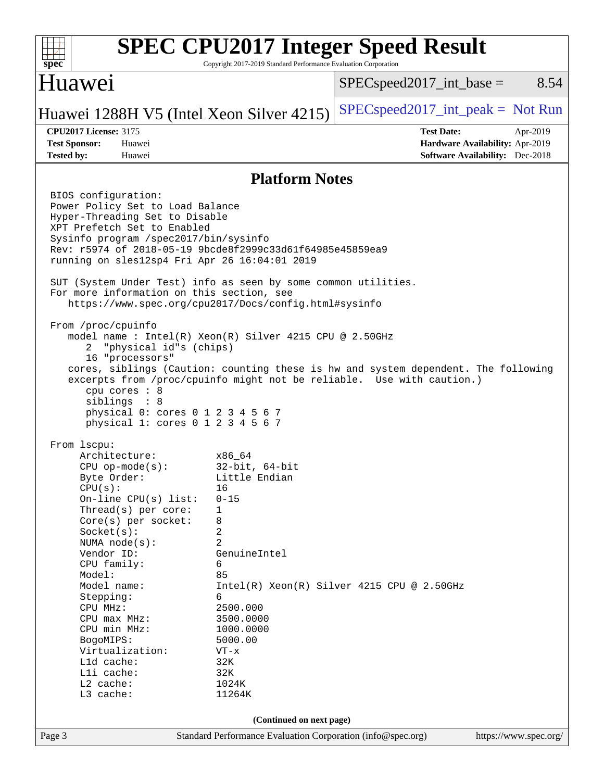#### **[SPEC CPU2017 Integer Speed Result](http://www.spec.org/auto/cpu2017/Docs/result-fields.html#SPECCPU2017IntegerSpeedResult)**  $+\ +$ **[spec](http://www.spec.org/)** Copyright 2017-2019 Standard Performance Evaluation Corporation Huawei  $SPEC speed2017\_int\_base =$  8.54 Huawei 1288H V5 (Intel Xeon Silver 4215)  $|SPEC speed2017\_int\_peak = Not Run$ **[CPU2017 License:](http://www.spec.org/auto/cpu2017/Docs/result-fields.html#CPU2017License)** 3175 **[Test Date:](http://www.spec.org/auto/cpu2017/Docs/result-fields.html#TestDate)** Apr-2019 **[Test Sponsor:](http://www.spec.org/auto/cpu2017/Docs/result-fields.html#TestSponsor)** Huawei **[Hardware Availability:](http://www.spec.org/auto/cpu2017/Docs/result-fields.html#HardwareAvailability)** Apr-2019 **[Tested by:](http://www.spec.org/auto/cpu2017/Docs/result-fields.html#Testedby)** Huawei **[Software Availability:](http://www.spec.org/auto/cpu2017/Docs/result-fields.html#SoftwareAvailability)** Dec-2018 **[Platform Notes](http://www.spec.org/auto/cpu2017/Docs/result-fields.html#PlatformNotes)** BIOS configuration: Power Policy Set to Load Balance Hyper-Threading Set to Disable XPT Prefetch Set to Enabled Sysinfo program /spec2017/bin/sysinfo Rev: r5974 of 2018-05-19 9bcde8f2999c33d61f64985e45859ea9 running on sles12sp4 Fri Apr 26 16:04:01 2019 SUT (System Under Test) info as seen by some common utilities. For more information on this section, see <https://www.spec.org/cpu2017/Docs/config.html#sysinfo> From /proc/cpuinfo model name : Intel(R) Xeon(R) Silver 4215 CPU @ 2.50GHz 2 "physical id"s (chips) 16 "processors" cores, siblings (Caution: counting these is hw and system dependent. The following excerpts from /proc/cpuinfo might not be reliable. Use with caution.) cpu cores : 8 siblings : 8 physical 0: cores 0 1 2 3 4 5 6 7 physical 1: cores 0 1 2 3 4 5 6 7 From lscpu: Architecture: x86\_64 CPU op-mode(s): 32-bit, 64-bit Byte Order: Little Endian  $CPU(s):$  16 On-line CPU(s) list: 0-15 Thread(s) per core: 1 Core(s) per socket: 8 Socket(s): 2 NUMA node(s): 2 Vendor ID: GenuineIntel CPU family: 6 Model: 85 Model name:  $Intel(R)$  Xeon(R) Silver 4215 CPU @ 2.50GHz Stepping: 6 CPU MHz: 2500.000 CPU max MHz: 3500.0000 CPU min MHz: 1000.0000 BogoMIPS: 5000.00 Virtualization: VT-x L1d cache: 32K<br>
L1i cache: 32K  $L1i$  cache: L2 cache: 1024K L3 cache: 11264K **(Continued on next page)**Page 3 Standard Performance Evaluation Corporation [\(info@spec.org\)](mailto:info@spec.org) <https://www.spec.org/>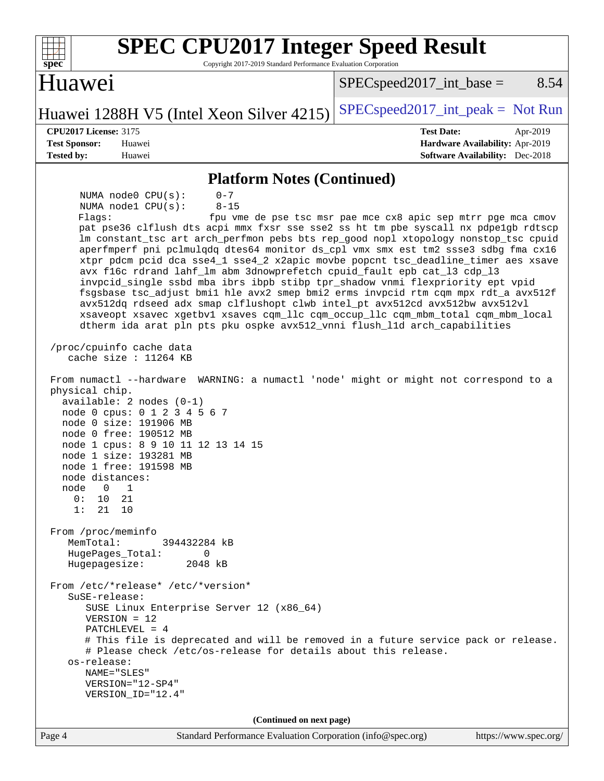| <b>SPEC CPU2017 Integer Speed Result</b><br>Copyright 2017-2019 Standard Performance Evaluation Corporation<br>$spec^*$                                                                                                                                                                                                                                                                                                                                                                                                                                                                                                                                                                                                                                                                                                                                                                                                                                                                                                                                                                                                                                                                                                                                                                                                                                                                                                                                                                                                                                                                                                                                                                                                                                                                                                                            |                                                                                                                               |  |  |  |  |  |  |
|----------------------------------------------------------------------------------------------------------------------------------------------------------------------------------------------------------------------------------------------------------------------------------------------------------------------------------------------------------------------------------------------------------------------------------------------------------------------------------------------------------------------------------------------------------------------------------------------------------------------------------------------------------------------------------------------------------------------------------------------------------------------------------------------------------------------------------------------------------------------------------------------------------------------------------------------------------------------------------------------------------------------------------------------------------------------------------------------------------------------------------------------------------------------------------------------------------------------------------------------------------------------------------------------------------------------------------------------------------------------------------------------------------------------------------------------------------------------------------------------------------------------------------------------------------------------------------------------------------------------------------------------------------------------------------------------------------------------------------------------------------------------------------------------------------------------------------------------------|-------------------------------------------------------------------------------------------------------------------------------|--|--|--|--|--|--|
| Huawei                                                                                                                                                                                                                                                                                                                                                                                                                                                                                                                                                                                                                                                                                                                                                                                                                                                                                                                                                                                                                                                                                                                                                                                                                                                                                                                                                                                                                                                                                                                                                                                                                                                                                                                                                                                                                                             | 8.54<br>$SPEC speed2017\_int\_base =$                                                                                         |  |  |  |  |  |  |
| Huawei 1288H V5 (Intel Xeon Silver 4215)                                                                                                                                                                                                                                                                                                                                                                                                                                                                                                                                                                                                                                                                                                                                                                                                                                                                                                                                                                                                                                                                                                                                                                                                                                                                                                                                                                                                                                                                                                                                                                                                                                                                                                                                                                                                           | $SPEC speed2017\_int\_peak = Not Run$                                                                                         |  |  |  |  |  |  |
| <b>CPU2017 License: 3175</b><br><b>Test Date:</b><br>Apr-2019<br><b>Test Sponsor:</b><br>Hardware Availability: Apr-2019<br>Huawei                                                                                                                                                                                                                                                                                                                                                                                                                                                                                                                                                                                                                                                                                                                                                                                                                                                                                                                                                                                                                                                                                                                                                                                                                                                                                                                                                                                                                                                                                                                                                                                                                                                                                                                 |                                                                                                                               |  |  |  |  |  |  |
| <b>Tested by:</b><br>Huawei                                                                                                                                                                                                                                                                                                                                                                                                                                                                                                                                                                                                                                                                                                                                                                                                                                                                                                                                                                                                                                                                                                                                                                                                                                                                                                                                                                                                                                                                                                                                                                                                                                                                                                                                                                                                                        | <b>Software Availability:</b> Dec-2018                                                                                        |  |  |  |  |  |  |
| <b>Platform Notes (Continued)</b>                                                                                                                                                                                                                                                                                                                                                                                                                                                                                                                                                                                                                                                                                                                                                                                                                                                                                                                                                                                                                                                                                                                                                                                                                                                                                                                                                                                                                                                                                                                                                                                                                                                                                                                                                                                                                  |                                                                                                                               |  |  |  |  |  |  |
| NUMA node0 CPU(s):<br>$0 - 7$<br>NUMA nodel CPU(s):<br>$8 - 15$<br>Flagg:<br>pat pse36 clflush dts acpi mmx fxsr sse sse2 ss ht tm pbe syscall nx pdpe1gb rdtscp<br>lm constant_tsc art arch_perfmon pebs bts rep_good nopl xtopology nonstop_tsc cpuid<br>aperfmperf pni pclmulqdq dtes64 monitor ds_cpl vmx smx est tm2 ssse3 sdbg fma cx16<br>xtpr pdcm pcid dca sse4_1 sse4_2 x2apic movbe popcnt tsc_deadline_timer aes xsave<br>avx f16c rdrand lahf_lm abm 3dnowprefetch cpuid_fault epb cat_13 cdp_13<br>invpcid_single ssbd mba ibrs ibpb stibp tpr_shadow vnmi flexpriority ept vpid<br>fsgsbase tsc_adjust bmil hle avx2 smep bmi2 erms invpcid rtm cqm mpx rdt_a avx512f<br>avx512dq rdseed adx smap clflushopt clwb intel_pt avx512cd avx512bw avx512vl<br>xsaveopt xsavec xgetbvl xsaves cqm_llc cqm_occup_llc cqm_mbm_total cqm_mbm_local<br>dtherm ida arat pln pts pku ospke avx512_vnni flush_lld arch_capabilities<br>/proc/cpuinfo cache data<br>cache size : $11264$ KB<br>From numactl --hardware<br>physical chip.<br>$available: 2 nodes (0-1)$<br>node 0 cpus: 0 1 2 3 4 5 6 7<br>node 0 size: 191906 MB<br>node 0 free: 190512 MB<br>node 1 cpus: 8 9 10 11 12 13 14 15<br>node 1 size: 193281 MB<br>node 1 free: 191598 MB<br>node distances:<br>0<br>node<br>1<br>21<br>10<br>0 :<br>1:<br>21<br>10<br>From /proc/meminfo<br>MemTotal:<br>394432284 kB<br>HugePages_Total:<br>$\Omega$<br>Hugepagesize:<br>2048 kB<br>From /etc/*release* /etc/*version*<br>SuSE-release:<br>SUSE Linux Enterprise Server 12 (x86_64)<br>$VERSION = 12$<br>PATCHLEVEL = $4$<br># This file is deprecated and will be removed in a future service pack or release.<br># Please check /etc/os-release for details about this release.<br>os-release:<br>NAME="SLES"<br>VERSION="12-SP4"<br>VERSION_ID="12.4"<br>(Continued on next page) | fpu vme de pse tsc msr pae mce cx8 apic sep mtrr pge mca cmov<br>WARNING: a numactl 'node' might or might not correspond to a |  |  |  |  |  |  |
| Standard Performance Evaluation Corporation (info@spec.org)<br>Page 4                                                                                                                                                                                                                                                                                                                                                                                                                                                                                                                                                                                                                                                                                                                                                                                                                                                                                                                                                                                                                                                                                                                                                                                                                                                                                                                                                                                                                                                                                                                                                                                                                                                                                                                                                                              | https://www.spec.org/                                                                                                         |  |  |  |  |  |  |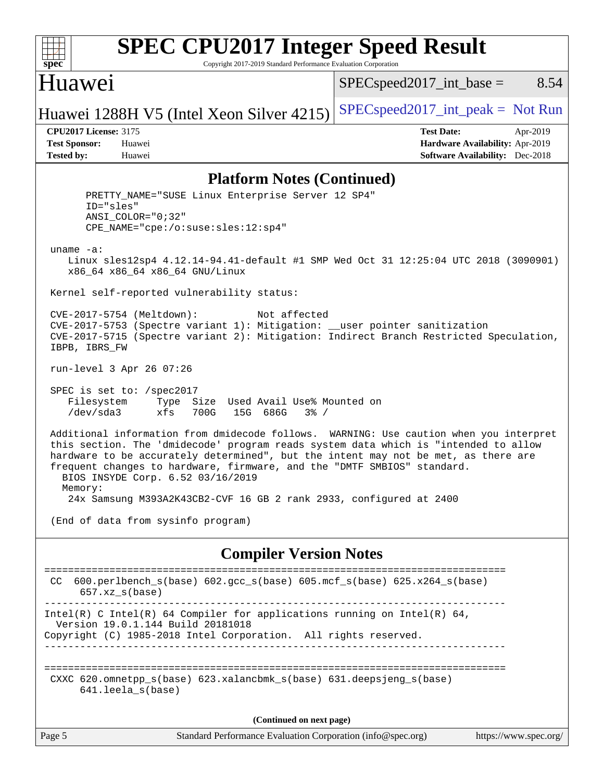

# **[SPEC CPU2017 Integer Speed Result](http://www.spec.org/auto/cpu2017/Docs/result-fields.html#SPECCPU2017IntegerSpeedResult)**

Copyright 2017-2019 Standard Performance Evaluation Corporation

## Huawei

 $SPEC speed2017\_int\_base =$  8.54

Huawei 1288H V5 (Intel Xeon Silver 4215)  $|SPEC speed2017\_int\_peak = Not Run$ 

**[CPU2017 License:](http://www.spec.org/auto/cpu2017/Docs/result-fields.html#CPU2017License)** 3175 **[Test Date:](http://www.spec.org/auto/cpu2017/Docs/result-fields.html#TestDate)** Apr-2019 **[Test Sponsor:](http://www.spec.org/auto/cpu2017/Docs/result-fields.html#TestSponsor)** Huawei **[Hardware Availability:](http://www.spec.org/auto/cpu2017/Docs/result-fields.html#HardwareAvailability)** Apr-2019 **[Tested by:](http://www.spec.org/auto/cpu2017/Docs/result-fields.html#Testedby)** Huawei **[Software Availability:](http://www.spec.org/auto/cpu2017/Docs/result-fields.html#SoftwareAvailability)** Dec-2018

#### **[Platform Notes \(Continued\)](http://www.spec.org/auto/cpu2017/Docs/result-fields.html#PlatformNotes)**

 PRETTY\_NAME="SUSE Linux Enterprise Server 12 SP4" ID="sles" ANSI\_COLOR="0;32" CPE\_NAME="cpe:/o:suse:sles:12:sp4" uname -a: Linux sles12sp4 4.12.14-94.41-default #1 SMP Wed Oct 31 12:25:04 UTC 2018 (3090901) x86\_64 x86\_64 x86\_64 GNU/Linux Kernel self-reported vulnerability status: CVE-2017-5754 (Meltdown): Not affected CVE-2017-5753 (Spectre variant 1): Mitigation: \_\_user pointer sanitization CVE-2017-5715 (Spectre variant 2): Mitigation: Indirect Branch Restricted Speculation, IBPB, IBRS\_FW run-level 3 Apr 26 07:26 SPEC is set to: /spec2017 Filesystem Type Size Used Avail Use% Mounted on /dev/sda3 xfs 700G 15G 686G 3% / Additional information from dmidecode follows. WARNING: Use caution when you interpret this section. The 'dmidecode' program reads system data which is "intended to allow hardware to be accurately determined", but the intent may not be met, as there are frequent changes to hardware, firmware, and the "DMTF SMBIOS" standard. BIOS INSYDE Corp. 6.52 03/16/2019 Memory: 24x Samsung M393A2K43CB2-CVF 16 GB 2 rank 2933, configured at 2400 (End of data from sysinfo program) **[Compiler Version Notes](http://www.spec.org/auto/cpu2017/Docs/result-fields.html#CompilerVersionNotes)** ============================================================================== CC 600.perlbench\_s(base) 602.gcc\_s(base) 605.mcf\_s(base) 625.x264\_s(base)  $657.xz$  s(base) ------------------------------------------------------------------------------ Intel(R) C Intel(R) 64 Compiler for applications running on Intel(R)  $64$ , Version 19.0.1.144 Build 20181018 Copyright (C) 1985-2018 Intel Corporation. All rights reserved. ------------------------------------------------------------------------------ ============================================================================== CXXC 620.omnetpp\_s(base) 623.xalancbmk\_s(base) 631.deepsjeng\_s(base) 641.leela\_s(base) **(Continued on next page)**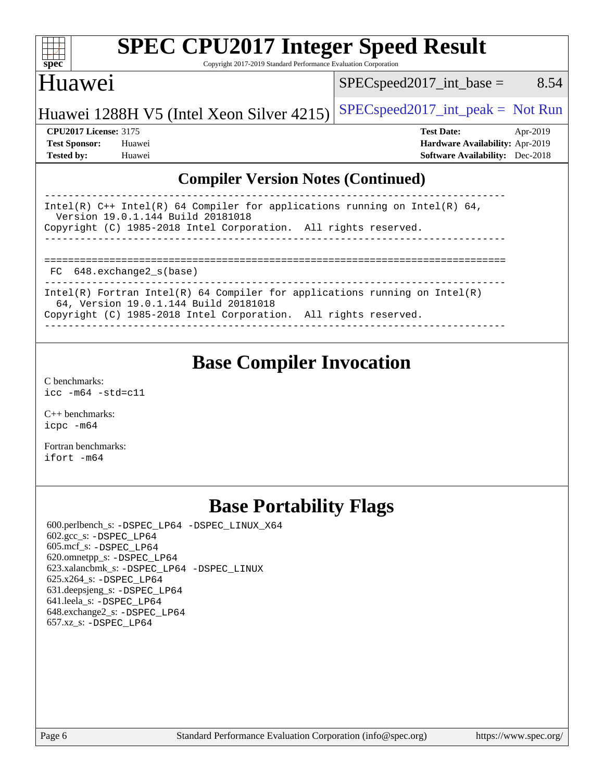| S<br>ne<br>I<br>Ľ |  |  |  |  |  |
|-------------------|--|--|--|--|--|

# **[SPEC CPU2017 Integer Speed Result](http://www.spec.org/auto/cpu2017/Docs/result-fields.html#SPECCPU2017IntegerSpeedResult)**

Copyright 2017-2019 Standard Performance Evaluation Corporation

# Huawei

 $SPEC speed2017\_int\_base =$  8.54

# Huawei 1288H V5 (Intel Xeon Silver 4215)  $|SPEC speed2017\_int\_peak = Not Run$

**[Tested by:](http://www.spec.org/auto/cpu2017/Docs/result-fields.html#Testedby)** Huawei **[Software Availability:](http://www.spec.org/auto/cpu2017/Docs/result-fields.html#SoftwareAvailability)** Dec-2018

**[CPU2017 License:](http://www.spec.org/auto/cpu2017/Docs/result-fields.html#CPU2017License)** 3175 **[Test Date:](http://www.spec.org/auto/cpu2017/Docs/result-fields.html#TestDate)** Apr-2019 **[Test Sponsor:](http://www.spec.org/auto/cpu2017/Docs/result-fields.html#TestSponsor)** Huawei **[Hardware Availability:](http://www.spec.org/auto/cpu2017/Docs/result-fields.html#HardwareAvailability)** Apr-2019

### **[Compiler Version Notes \(Continued\)](http://www.spec.org/auto/cpu2017/Docs/result-fields.html#CompilerVersionNotes)**

| Intel(R) $C++$ Intel(R) 64 Compiler for applications running on Intel(R) 64,<br>Version 19.0.1.144 Build 20181018   |  |  |  |  |  |
|---------------------------------------------------------------------------------------------------------------------|--|--|--|--|--|
| Copyright (C) 1985-2018 Intel Corporation. All rights reserved.                                                     |  |  |  |  |  |
|                                                                                                                     |  |  |  |  |  |
|                                                                                                                     |  |  |  |  |  |
|                                                                                                                     |  |  |  |  |  |
| FC 648. exchange2 s(base)                                                                                           |  |  |  |  |  |
|                                                                                                                     |  |  |  |  |  |
| Intel(R) Fortran Intel(R) 64 Compiler for applications running on Intel(R)<br>64, Version 19.0.1.144 Build 20181018 |  |  |  |  |  |
| Copyright (C) 1985-2018 Intel Corporation. All rights reserved.                                                     |  |  |  |  |  |
|                                                                                                                     |  |  |  |  |  |

# **[Base Compiler Invocation](http://www.spec.org/auto/cpu2017/Docs/result-fields.html#BaseCompilerInvocation)**

[C benchmarks](http://www.spec.org/auto/cpu2017/Docs/result-fields.html#Cbenchmarks): [icc -m64 -std=c11](http://www.spec.org/cpu2017/results/res2019q2/cpu2017-20190428-12658.flags.html#user_CCbase_intel_icc_64bit_c11_33ee0cdaae7deeeab2a9725423ba97205ce30f63b9926c2519791662299b76a0318f32ddfffdc46587804de3178b4f9328c46fa7c2b0cd779d7a61945c91cd35)

[C++ benchmarks:](http://www.spec.org/auto/cpu2017/Docs/result-fields.html#CXXbenchmarks) [icpc -m64](http://www.spec.org/cpu2017/results/res2019q2/cpu2017-20190428-12658.flags.html#user_CXXbase_intel_icpc_64bit_4ecb2543ae3f1412ef961e0650ca070fec7b7afdcd6ed48761b84423119d1bf6bdf5cad15b44d48e7256388bc77273b966e5eb805aefd121eb22e9299b2ec9d9)

[Fortran benchmarks](http://www.spec.org/auto/cpu2017/Docs/result-fields.html#Fortranbenchmarks): [ifort -m64](http://www.spec.org/cpu2017/results/res2019q2/cpu2017-20190428-12658.flags.html#user_FCbase_intel_ifort_64bit_24f2bb282fbaeffd6157abe4f878425411749daecae9a33200eee2bee2fe76f3b89351d69a8130dd5949958ce389cf37ff59a95e7a40d588e8d3a57e0c3fd751)

# **[Base Portability Flags](http://www.spec.org/auto/cpu2017/Docs/result-fields.html#BasePortabilityFlags)**

 600.perlbench\_s: [-DSPEC\\_LP64](http://www.spec.org/cpu2017/results/res2019q2/cpu2017-20190428-12658.flags.html#b600.perlbench_s_basePORTABILITY_DSPEC_LP64) [-DSPEC\\_LINUX\\_X64](http://www.spec.org/cpu2017/results/res2019q2/cpu2017-20190428-12658.flags.html#b600.perlbench_s_baseCPORTABILITY_DSPEC_LINUX_X64) 602.gcc\_s: [-DSPEC\\_LP64](http://www.spec.org/cpu2017/results/res2019q2/cpu2017-20190428-12658.flags.html#suite_basePORTABILITY602_gcc_s_DSPEC_LP64) 605.mcf\_s: [-DSPEC\\_LP64](http://www.spec.org/cpu2017/results/res2019q2/cpu2017-20190428-12658.flags.html#suite_basePORTABILITY605_mcf_s_DSPEC_LP64) 620.omnetpp\_s: [-DSPEC\\_LP64](http://www.spec.org/cpu2017/results/res2019q2/cpu2017-20190428-12658.flags.html#suite_basePORTABILITY620_omnetpp_s_DSPEC_LP64) 623.xalancbmk\_s: [-DSPEC\\_LP64](http://www.spec.org/cpu2017/results/res2019q2/cpu2017-20190428-12658.flags.html#suite_basePORTABILITY623_xalancbmk_s_DSPEC_LP64) [-DSPEC\\_LINUX](http://www.spec.org/cpu2017/results/res2019q2/cpu2017-20190428-12658.flags.html#b623.xalancbmk_s_baseCXXPORTABILITY_DSPEC_LINUX) 625.x264\_s: [-DSPEC\\_LP64](http://www.spec.org/cpu2017/results/res2019q2/cpu2017-20190428-12658.flags.html#suite_basePORTABILITY625_x264_s_DSPEC_LP64) 631.deepsjeng\_s: [-DSPEC\\_LP64](http://www.spec.org/cpu2017/results/res2019q2/cpu2017-20190428-12658.flags.html#suite_basePORTABILITY631_deepsjeng_s_DSPEC_LP64) 641.leela\_s: [-DSPEC\\_LP64](http://www.spec.org/cpu2017/results/res2019q2/cpu2017-20190428-12658.flags.html#suite_basePORTABILITY641_leela_s_DSPEC_LP64) 648.exchange2\_s: [-DSPEC\\_LP64](http://www.spec.org/cpu2017/results/res2019q2/cpu2017-20190428-12658.flags.html#suite_basePORTABILITY648_exchange2_s_DSPEC_LP64) 657.xz\_s: [-DSPEC\\_LP64](http://www.spec.org/cpu2017/results/res2019q2/cpu2017-20190428-12658.flags.html#suite_basePORTABILITY657_xz_s_DSPEC_LP64)